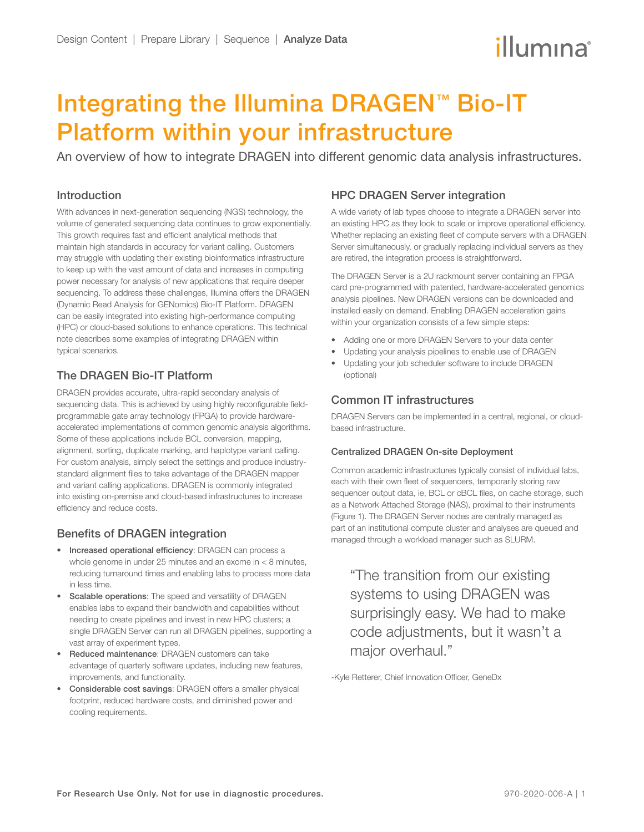# illumına

## Integrating the Illumina DRAGEN™ Bio-IT Platform within your infrastructure

An overview of how to integrate DRAGEN into different genomic data analysis infrastructures.

### Introduction

With advances in next-generation sequencing (NGS) technology, the volume of generated sequencing data continues to grow exponentially. This growth requires fast and efficient analytical methods that maintain high standards in accuracy for variant calling. Customers may struggle with updating their existing bioinformatics infrastructure to keep up with the vast amount of data and increases in computing power necessary for analysis of new applications that require deeper sequencing. To address these challenges, Illumina offers the DRAGEN (Dynamic Read Analysis for GENomics) Bio-IT Platform. DRAGEN can be easily integrated into existing high-performance computing (HPC) or cloud-based solutions to enhance operations. This technical note describes some examples of integrating DRAGEN within typical scenarios.

## The DRAGEN Bio-IT Platform

DRAGEN provides accurate, ultra-rapid secondary analysis of sequencing data. This is achieved by using highly reconfigurable fieldprogrammable gate array technology (FPGA) to provide hardwareaccelerated implementations of common genomic analysis algorithms. Some of these applications include BCL conversion, mapping, alignment, sorting, duplicate marking, and haplotype variant calling. For custom analysis, simply select the settings and produce industrystandard alignment files to take advantage of the DRAGEN mapper and variant calling applications. DRAGEN is commonly integrated into existing on-premise and cloud-based infrastructures to increase efficiency and reduce costs.

## Benefits of DRAGEN integration

- Increased operational efficiency: DRAGEN can process a whole genome in under 25 minutes and an exome in < 8 minutes, reducing turnaround times and enabling labs to process more data in less time.
- Scalable operations: The speed and versatility of DRAGEN enables labs to expand their bandwidth and capabilities without needing to create pipelines and invest in new HPC clusters; a single DRAGEN Server can run all DRAGEN pipelines, supporting a vast array of experiment types.
- Reduced maintenance: DRAGEN customers can take advantage of quarterly software updates, including new features, improvements, and functionality.
- Considerable cost savings: DRAGEN offers a smaller physical footprint, reduced hardware costs, and diminished power and cooling requirements.

### HPC DRAGEN Server integration

A wide variety of lab types choose to integrate a DRAGEN server into an existing HPC as they look to scale or improve operational efficiency. Whether replacing an existing fleet of compute servers with a DRAGEN Server simultaneously, or gradually replacing individual servers as they are retired, the integration process is straightforward.

The DRAGEN Server is a 2U rackmount server containing an FPGA card pre-programmed with patented, hardware-accelerated genomics analysis pipelines. New DRAGEN versions can be downloaded and installed easily on demand. Enabling DRAGEN acceleration gains within your organization consists of a few simple steps:

- Adding one or more DRAGEN Servers to your data center
- Updating your analysis pipelines to enable use of DRAGEN
- Updating your job scheduler software to include DRAGEN (optional)

## Common IT infrastructures

DRAGEN Servers can be implemented in a central, regional, or cloudbased infrastructure.

#### Centralized DRAGEN On-site Deployment

Common academic infrastructures typically consist of individual labs, each with their own fleet of sequencers, temporarily storing raw sequencer output data, ie, BCL or cBCL files, on cache storage, such as a Network Attached Storage (NAS), proximal to their instruments (Figure 1). The DRAGEN Server nodes are centrally managed as part of an institutional compute cluster and analyses are queued and managed through a workload manager such as SLURM.

"The transition from our existing systems to using DRAGEN was surprisingly easy. We had to make code adjustments, but it wasn't a major overhaul."

-Kyle Retterer, Chief Innovation Officer, GeneDx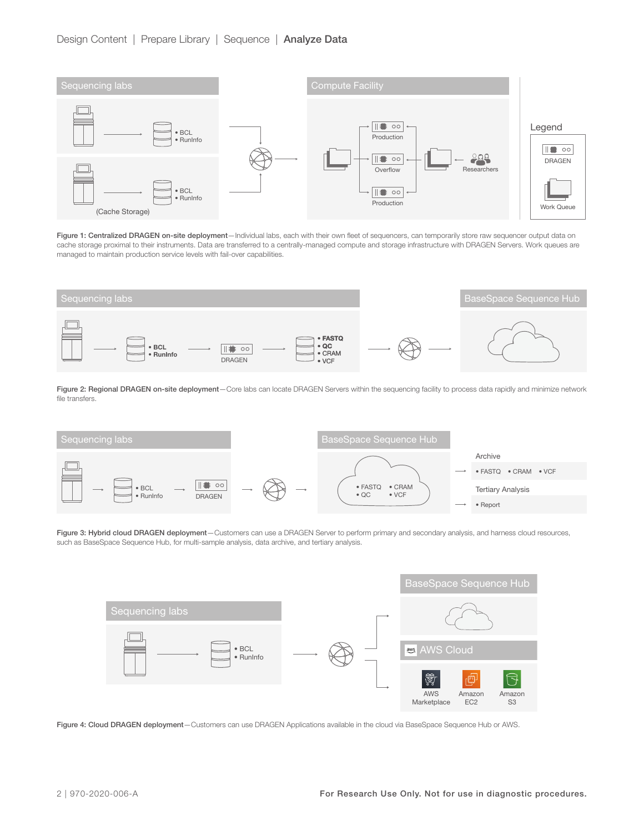

Figure 1: Centralized DRAGEN on-site deployment-Individual labs, each with their own fleet of sequencers, can temporarily store raw sequencer output data on cache storage proximal to their instruments. Data are transferred to a centrally-managed compute and storage infrastructure with DRAGEN Servers. Work queues are managed to maintain production service levels with fail-over capabilities.



Figure 2: Regional DRAGEN on-site deployment-Core labs can locate DRAGEN Servers within the sequencing facility to process data rapidly and minimize network file transfers.



Figure 3: Hybrid cloud DRAGEN deployment-Customers can use a DRAGEN Server to perform primary and secondary analysis, and harness cloud resources, such as BaseSpace Sequence Hub, for multi-sample analysis, data archive, and tertiary analysis.



Figure 4: Cloud DRAGEN deployment-Customers can use DRAGEN Applications available in the cloud via BaseSpace Sequence Hub or AWS.